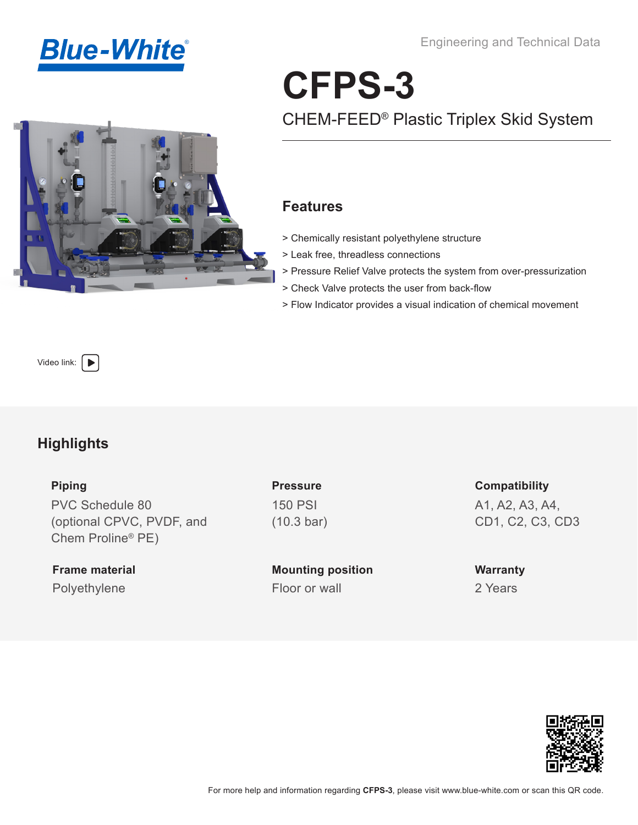

Engineering and Technical Data

# **CFPS-3** CHEM-FEED® Plastic Triplex Skid System

#### **Features**

- > Chemically resistant polyethylene structure
- > Leak free, threadless connections
- > Pressure Relief Valve protects the system from over-pressurization
- > Check Valve protects the user from back-flow
- > Flow Indicator provides a visual indication of chemical movement

Video link:  $\left\vert \rule{0pt}{10pt}\right\vert$ 

### **Highlights**

**Piping** 

PVC Schedule 80 (optional CPVC, PVDF, and Chem Proline® PE)

**Frame material** Polyethylene Floor or wall

**Pressure** 150 PSI (10.3 bar)

**Mounting position**

**Compatibility** A1, A2, A3, A4, CD1, C2, C3, CD3

**Warranty** 2 Years

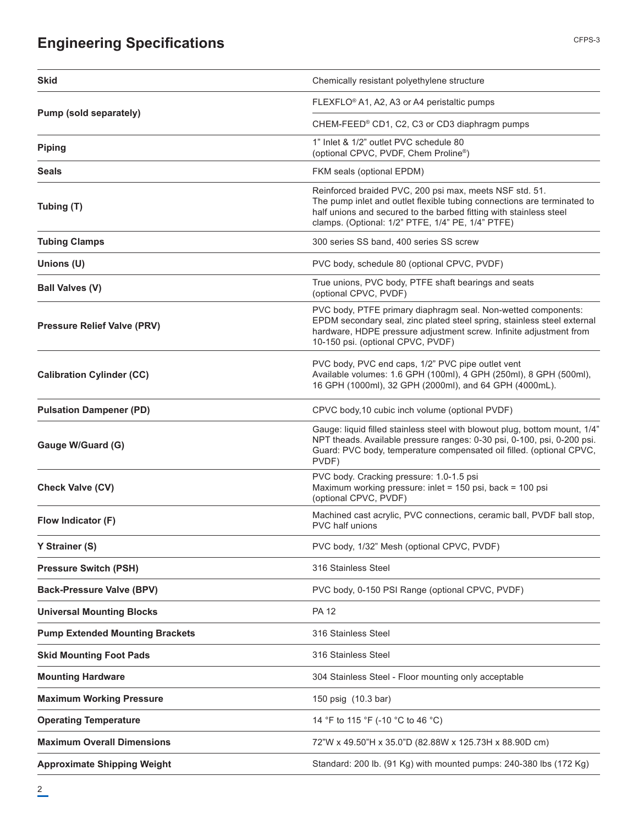# **Engineering Specifications**

| <b>Skid</b>                            | Chemically resistant polyethylene structure                                                                                                                                                                                                                   |
|----------------------------------------|---------------------------------------------------------------------------------------------------------------------------------------------------------------------------------------------------------------------------------------------------------------|
|                                        | FLEXFLO® A1, A2, A3 or A4 peristaltic pumps                                                                                                                                                                                                                   |
| Pump (sold separately)                 | CHEM-FEED® CD1, C2, C3 or CD3 diaphragm pumps                                                                                                                                                                                                                 |
| <b>Piping</b>                          | 1" Inlet & 1/2" outlet PVC schedule 80<br>(optional CPVC, PVDF, Chem Proline®)                                                                                                                                                                                |
| <b>Seals</b>                           | FKM seals (optional EPDM)                                                                                                                                                                                                                                     |
| Tubing (T)                             | Reinforced braided PVC, 200 psi max, meets NSF std. 51.<br>The pump inlet and outlet flexible tubing connections are terminated to<br>half unions and secured to the barbed fitting with stainless steel<br>clamps. (Optional: 1/2" PTFE, 1/4" PE, 1/4" PTFE) |
| <b>Tubing Clamps</b>                   | 300 series SS band, 400 series SS screw                                                                                                                                                                                                                       |
| Unions (U)                             | PVC body, schedule 80 (optional CPVC, PVDF)                                                                                                                                                                                                                   |
| <b>Ball Valves (V)</b>                 | True unions, PVC body, PTFE shaft bearings and seats<br>(optional CPVC, PVDF)                                                                                                                                                                                 |
| <b>Pressure Relief Valve (PRV)</b>     | PVC body, PTFE primary diaphragm seal. Non-wetted components:<br>EPDM secondary seal, zinc plated steel spring, stainless steel external<br>hardware, HDPE pressure adjustment screw. Infinite adjustment from<br>10-150 psi. (optional CPVC, PVDF)           |
| <b>Calibration Cylinder (CC)</b>       | PVC body, PVC end caps, 1/2" PVC pipe outlet vent<br>Available volumes: 1.6 GPH (100ml), 4 GPH (250ml), 8 GPH (500ml),<br>16 GPH (1000ml), 32 GPH (2000ml), and 64 GPH (4000mL).                                                                              |
| <b>Pulsation Dampener (PD)</b>         | CPVC body, 10 cubic inch volume (optional PVDF)                                                                                                                                                                                                               |
| Gauge W/Guard (G)                      | Gauge: liquid filled stainless steel with blowout plug, bottom mount, 1/4"<br>NPT theads. Available pressure ranges: 0-30 psi, 0-100, psi, 0-200 psi.<br>Guard: PVC body, temperature compensated oil filled. (optional CPVC,<br>PVDF)                        |
| <b>Check Valve (CV)</b>                | PVC body. Cracking pressure: 1.0-1.5 psi<br>Maximum working pressure: inlet = 150 psi, back = 100 psi<br>(optional CPVC, PVDF)                                                                                                                                |
| Flow Indicator (F)                     | Machined cast acrylic, PVC connections, ceramic ball, PVDF ball stop,<br>PVC half unions                                                                                                                                                                      |
| Y Strainer (S)                         | PVC body, 1/32" Mesh (optional CPVC, PVDF)                                                                                                                                                                                                                    |
| <b>Pressure Switch (PSH)</b>           | 316 Stainless Steel                                                                                                                                                                                                                                           |
| <b>Back-Pressure Valve (BPV)</b>       | PVC body, 0-150 PSI Range (optional CPVC, PVDF)                                                                                                                                                                                                               |
| <b>Universal Mounting Blocks</b>       | <b>PA 12</b>                                                                                                                                                                                                                                                  |
| <b>Pump Extended Mounting Brackets</b> | 316 Stainless Steel                                                                                                                                                                                                                                           |
| <b>Skid Mounting Foot Pads</b>         | 316 Stainless Steel                                                                                                                                                                                                                                           |
| <b>Mounting Hardware</b>               | 304 Stainless Steel - Floor mounting only acceptable                                                                                                                                                                                                          |
| <b>Maximum Working Pressure</b>        | 150 psig (10.3 bar)                                                                                                                                                                                                                                           |
| <b>Operating Temperature</b>           | 14 °F to 115 °F (-10 °C to 46 °C)                                                                                                                                                                                                                             |
| <b>Maximum Overall Dimensions</b>      | 72"W x 49.50"H x 35.0"D (82.88W x 125.73H x 88.90D cm)                                                                                                                                                                                                        |
| <b>Approximate Shipping Weight</b>     | Standard: 200 lb. (91 Kg) with mounted pumps: 240-380 lbs (172 Kg)                                                                                                                                                                                            |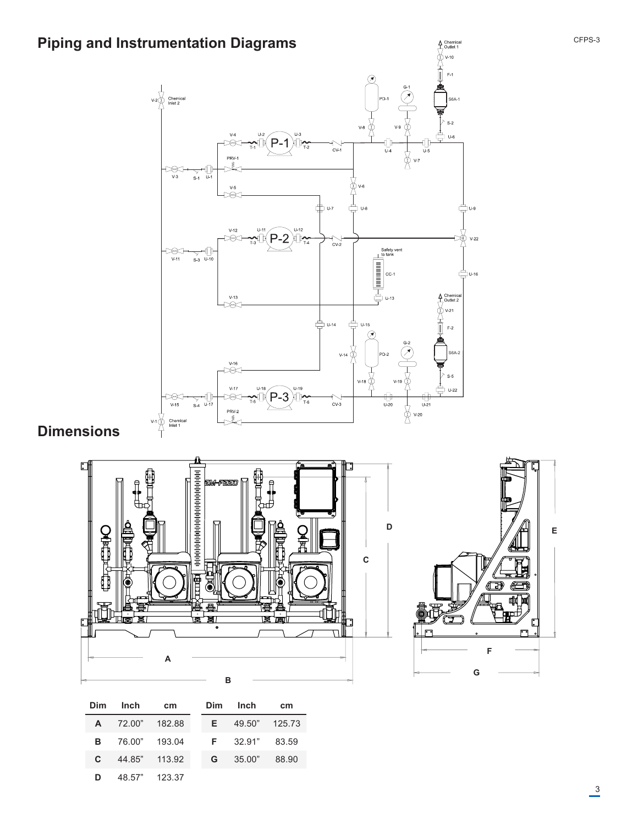

## **Dimensions**



| Dim.         | Inch                   | cm | Dim | Inch                 | cm    |
|--------------|------------------------|----|-----|----------------------|-------|
|              | A 72.00" 182.88        |    |     | $E = 49.50$ " 125.73 |       |
|              | <b>B</b> 76.00" 193.04 |    |     | $F = 32.91"$ 83.59   |       |
| $\mathbf{c}$ | 44.85" 113.92          |    | G   | 35.00"               | 88.90 |
| D            | 48.57" 123.37          |    |     |                      |       |